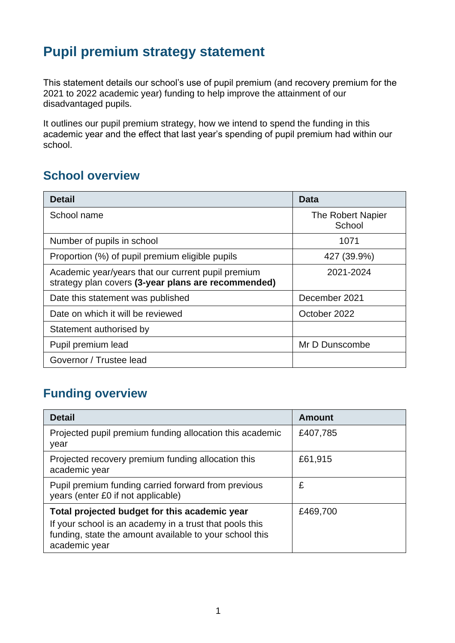# **Pupil premium strategy statement**

This statement details our school's use of pupil premium (and recovery premium for the 2021 to 2022 academic year) funding to help improve the attainment of our disadvantaged pupils.

It outlines our pupil premium strategy, how we intend to spend the funding in this academic year and the effect that last year's spending of pupil premium had within our school.

### **School overview**

| <b>Detail</b>                                                                                             | Data                        |
|-----------------------------------------------------------------------------------------------------------|-----------------------------|
| School name                                                                                               | The Robert Napier<br>School |
| Number of pupils in school                                                                                | 1071                        |
| Proportion (%) of pupil premium eligible pupils                                                           | 427 (39.9%)                 |
| Academic year/years that our current pupil premium<br>strategy plan covers (3-year plans are recommended) | 2021-2024                   |
| Date this statement was published                                                                         | December 2021               |
| Date on which it will be reviewed                                                                         | October 2022                |
| Statement authorised by                                                                                   |                             |
| Pupil premium lead                                                                                        | Mr D Dunscombe              |
| Governor / Trustee lead                                                                                   |                             |

## **Funding overview**

| <b>Detail</b>                                                                                                                       | Amount   |
|-------------------------------------------------------------------------------------------------------------------------------------|----------|
| Projected pupil premium funding allocation this academic<br>year                                                                    | £407,785 |
| Projected recovery premium funding allocation this<br>academic year                                                                 | £61,915  |
| Pupil premium funding carried forward from previous<br>years (enter £0 if not applicable)                                           | £        |
| Total projected budget for this academic year                                                                                       | £469,700 |
| If your school is an academy in a trust that pools this<br>funding, state the amount available to your school this<br>academic year |          |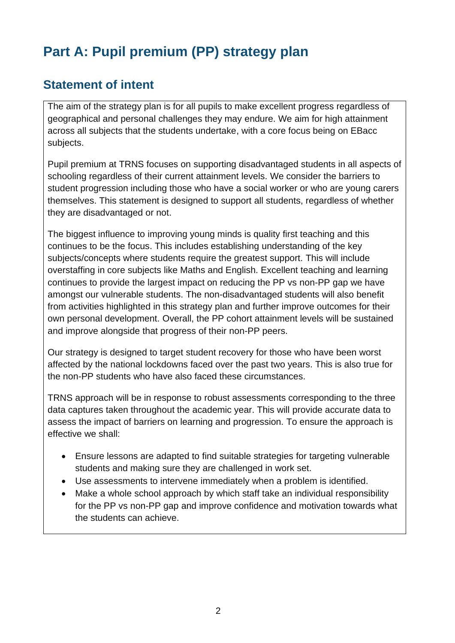# **Part A: Pupil premium (PP) strategy plan**

### **Statement of intent**

The aim of the strategy plan is for all pupils to make excellent progress regardless of geographical and personal challenges they may endure. We aim for high attainment across all subjects that the students undertake, with a core focus being on EBacc subjects.

Pupil premium at TRNS focuses on supporting disadvantaged students in all aspects of schooling regardless of their current attainment levels. We consider the barriers to student progression including those who have a social worker or who are young carers themselves. This statement is designed to support all students, regardless of whether they are disadvantaged or not.

The biggest influence to improving young minds is quality first teaching and this continues to be the focus. This includes establishing understanding of the key subjects/concepts where students require the greatest support. This will include overstaffing in core subjects like Maths and English. Excellent teaching and learning continues to provide the largest impact on reducing the PP vs non-PP gap we have amongst our vulnerable students. The non-disadvantaged students will also benefit from activities highlighted in this strategy plan and further improve outcomes for their own personal development. Overall, the PP cohort attainment levels will be sustained and improve alongside that progress of their non-PP peers.

Our strategy is designed to target student recovery for those who have been worst affected by the national lockdowns faced over the past two years. This is also true for the non-PP students who have also faced these circumstances.

TRNS approach will be in response to robust assessments corresponding to the three data captures taken throughout the academic year. This will provide accurate data to assess the impact of barriers on learning and progression. To ensure the approach is effective we shall:

- Ensure lessons are adapted to find suitable strategies for targeting vulnerable students and making sure they are challenged in work set.
- Use assessments to intervene immediately when a problem is identified.
- Make a whole school approach by which staff take an individual responsibility for the PP vs non-PP gap and improve confidence and motivation towards what the students can achieve.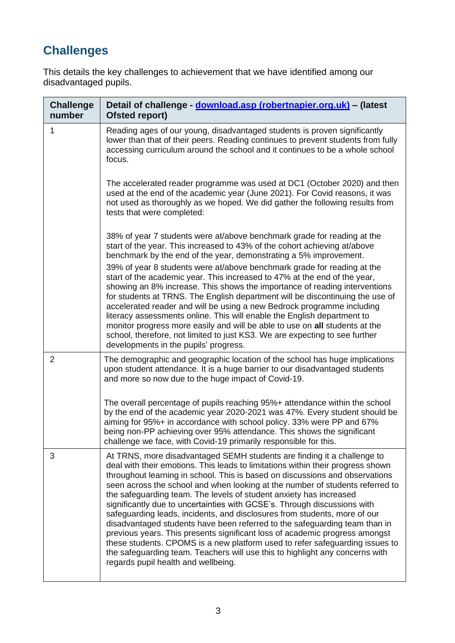# **Challenges**

This details the key challenges to achievement that we have identified among our disadvantaged pupils.

| <b>Challenge</b><br>number | Detail of challenge - download.asp (robertnapier.org.uk) - (latest<br>Ofsted report)                                                                                                                                                                                                                                                                                                                                                                                                                                                                                                                                                                                                                                                                                                                                                                                                                                           |
|----------------------------|--------------------------------------------------------------------------------------------------------------------------------------------------------------------------------------------------------------------------------------------------------------------------------------------------------------------------------------------------------------------------------------------------------------------------------------------------------------------------------------------------------------------------------------------------------------------------------------------------------------------------------------------------------------------------------------------------------------------------------------------------------------------------------------------------------------------------------------------------------------------------------------------------------------------------------|
| $\mathbf{1}$               | Reading ages of our young, disadvantaged students is proven significantly<br>lower than that of their peers. Reading continues to prevent students from fully<br>accessing curriculum around the school and it continues to be a whole school<br>focus.                                                                                                                                                                                                                                                                                                                                                                                                                                                                                                                                                                                                                                                                        |
|                            | The accelerated reader programme was used at DC1 (October 2020) and then<br>used at the end of the academic year (June 2021). For Covid reasons, it was<br>not used as thoroughly as we hoped. We did gather the following results from<br>tests that were completed:                                                                                                                                                                                                                                                                                                                                                                                                                                                                                                                                                                                                                                                          |
|                            | 38% of year 7 students were at/above benchmark grade for reading at the<br>start of the year. This increased to 43% of the cohort achieving at/above<br>benchmark by the end of the year, demonstrating a 5% improvement.                                                                                                                                                                                                                                                                                                                                                                                                                                                                                                                                                                                                                                                                                                      |
|                            | 39% of year 8 students were at/above benchmark grade for reading at the<br>start of the academic year. This increased to 47% at the end of the year,<br>showing an 8% increase. This shows the importance of reading interventions<br>for students at TRNS. The English department will be discontinuing the use of<br>accelerated reader and will be using a new Bedrock programme including<br>literacy assessments online. This will enable the English department to<br>monitor progress more easily and will be able to use on all students at the<br>school, therefore, not limited to just KS3. We are expecting to see further<br>developments in the pupils' progress.                                                                                                                                                                                                                                                |
| $\overline{2}$             | The demographic and geographic location of the school has huge implications<br>upon student attendance. It is a huge barrier to our disadvantaged students<br>and more so now due to the huge impact of Covid-19.                                                                                                                                                                                                                                                                                                                                                                                                                                                                                                                                                                                                                                                                                                              |
|                            | The overall percentage of pupils reaching 95%+ attendance within the school<br>by the end of the academic year 2020-2021 was 47%. Every student should be<br>aiming for 95%+ in accordance with school policy. 33% were PP and 67%<br>being non-PP achieving over 95% attendance. This shows the significant<br>challenge we face, with Covid-19 primarily responsible for this.                                                                                                                                                                                                                                                                                                                                                                                                                                                                                                                                               |
| 3                          | At TRNS, more disadvantaged SEMH students are finding it a challenge to<br>deal with their emotions. This leads to limitations within their progress shown<br>throughout learning in school. This is based on discussions and observations<br>seen across the school and when looking at the number of students referred to<br>the safeguarding team. The levels of student anxiety has increased<br>significantly due to uncertainties with GCSE's. Through discussions with<br>safeguarding leads, incidents, and disclosures from students, more of our<br>disadvantaged students have been referred to the safeguarding team than in<br>previous years. This presents significant loss of academic progress amongst<br>these students. CPOMS is a new platform used to refer safeguarding issues to<br>the safeguarding team. Teachers will use this to highlight any concerns with<br>regards pupil health and wellbeing. |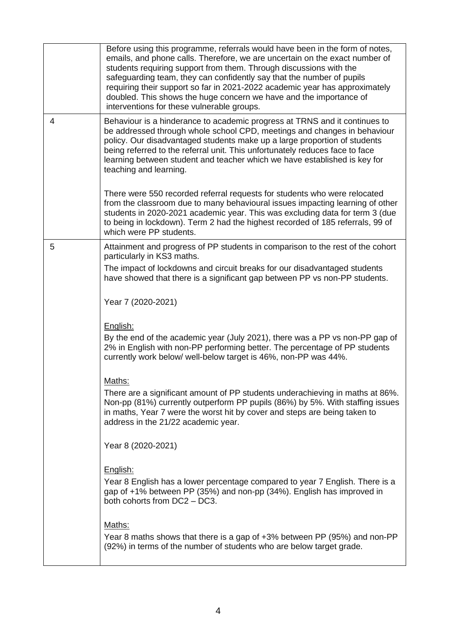|   | Before using this programme, referrals would have been in the form of notes,<br>emails, and phone calls. Therefore, we are uncertain on the exact number of<br>students requiring support from them. Through discussions with the<br>safeguarding team, they can confidently say that the number of pupils<br>requiring their support so far in 2021-2022 academic year has approximately<br>doubled. This shows the huge concern we have and the importance of<br>interventions for these vulnerable groups. |
|---|---------------------------------------------------------------------------------------------------------------------------------------------------------------------------------------------------------------------------------------------------------------------------------------------------------------------------------------------------------------------------------------------------------------------------------------------------------------------------------------------------------------|
| 4 | Behaviour is a hinderance to academic progress at TRNS and it continues to<br>be addressed through whole school CPD, meetings and changes in behaviour<br>policy. Our disadvantaged students make up a large proportion of students<br>being referred to the referral unit. This unfortunately reduces face to face<br>learning between student and teacher which we have established is key for<br>teaching and learning.                                                                                    |
|   | There were 550 recorded referral requests for students who were relocated<br>from the classroom due to many behavioural issues impacting learning of other<br>students in 2020-2021 academic year. This was excluding data for term 3 (due<br>to being in lockdown). Term 2 had the highest recorded of 185 referrals, 99 of<br>which were PP students.                                                                                                                                                       |
| 5 | Attainment and progress of PP students in comparison to the rest of the cohort<br>particularly in KS3 maths.                                                                                                                                                                                                                                                                                                                                                                                                  |
|   | The impact of lockdowns and circuit breaks for our disadvantaged students<br>have showed that there is a significant gap between PP vs non-PP students.                                                                                                                                                                                                                                                                                                                                                       |
|   | Year 7 (2020-2021)                                                                                                                                                                                                                                                                                                                                                                                                                                                                                            |
|   | English:<br>By the end of the academic year (July 2021), there was a PP vs non-PP gap of<br>2% in English with non-PP performing better. The percentage of PP students<br>currently work below/ well-below target is 46%, non-PP was 44%.                                                                                                                                                                                                                                                                     |
|   | Maths:<br>There are a significant amount of PP students underachieving in maths at 86%.<br>Non-pp (81%) currently outperform PP pupils (86%) by 5%. With staffing issues<br>in maths, Year 7 were the worst hit by cover and steps are being taken to<br>address in the 21/22 academic year.                                                                                                                                                                                                                  |
|   | Year 8 (2020-2021)                                                                                                                                                                                                                                                                                                                                                                                                                                                                                            |
|   | English:<br>Year 8 English has a lower percentage compared to year 7 English. There is a<br>gap of +1% between PP (35%) and non-pp (34%). English has improved in<br>both cohorts from DC2 - DC3.                                                                                                                                                                                                                                                                                                             |
|   | Maths:<br>Year 8 maths shows that there is a gap of $+3%$ between PP (95%) and non-PP<br>(92%) in terms of the number of students who are below target grade.                                                                                                                                                                                                                                                                                                                                                 |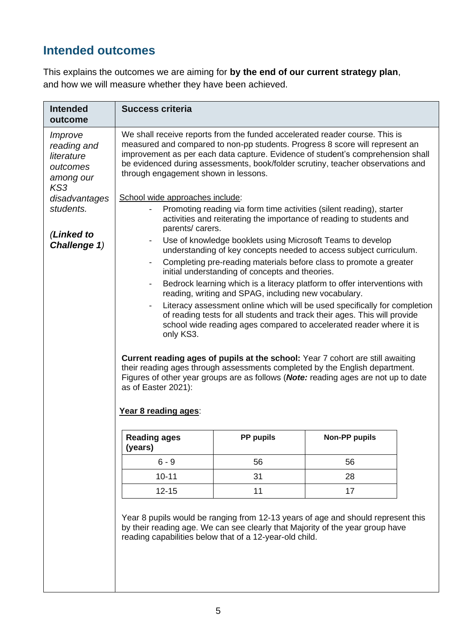## **Intended outcomes**

This explains the outcomes we are aiming for **by the end of our current strategy plan**, and how we will measure whether they have been achieved.

| <b>Intended</b><br>outcome                                                                                                                                                                                                                 | <b>Success criteria</b>                                                                                                                                                                                                                                                                                                                                                   |                                                            |                                                                                                                                                                                                                                                             |  |
|--------------------------------------------------------------------------------------------------------------------------------------------------------------------------------------------------------------------------------------------|---------------------------------------------------------------------------------------------------------------------------------------------------------------------------------------------------------------------------------------------------------------------------------------------------------------------------------------------------------------------------|------------------------------------------------------------|-------------------------------------------------------------------------------------------------------------------------------------------------------------------------------------------------------------------------------------------------------------|--|
| Improve<br>reading and<br>literature<br>outcomes<br>among our<br>KS3                                                                                                                                                                       | We shall receive reports from the funded accelerated reader course. This is<br>measured and compared to non-pp students. Progress 8 score will represent an<br>improvement as per each data capture. Evidence of student's comprehension shall<br>be evidenced during assessments, book/folder scrutiny, teacher observations and<br>through engagement shown in lessons. |                                                            |                                                                                                                                                                                                                                                             |  |
| disadvantages                                                                                                                                                                                                                              | School wide approaches include:                                                                                                                                                                                                                                                                                                                                           |                                                            |                                                                                                                                                                                                                                                             |  |
| students.                                                                                                                                                                                                                                  | Promoting reading via form time activities (silent reading), starter<br>activities and reiterating the importance of reading to students and<br>parents/ carers.                                                                                                                                                                                                          |                                                            |                                                                                                                                                                                                                                                             |  |
| (Linked to<br>Challenge 1)                                                                                                                                                                                                                 |                                                                                                                                                                                                                                                                                                                                                                           | Use of knowledge booklets using Microsoft Teams to develop | understanding of key concepts needed to access subject curriculum.                                                                                                                                                                                          |  |
|                                                                                                                                                                                                                                            |                                                                                                                                                                                                                                                                                                                                                                           | initial understanding of concepts and theories.            | Completing pre-reading materials before class to promote a greater                                                                                                                                                                                          |  |
|                                                                                                                                                                                                                                            | $\overline{\phantom{a}}$                                                                                                                                                                                                                                                                                                                                                  | reading, writing and SPAG, including new vocabulary.       | Bedrock learning which is a literacy platform to offer interventions with                                                                                                                                                                                   |  |
| Literacy assessment online which will be used specifically for completion<br>of reading tests for all students and track their ages. This will provide<br>school wide reading ages compared to accelerated reader where it is<br>only KS3. |                                                                                                                                                                                                                                                                                                                                                                           |                                                            |                                                                                                                                                                                                                                                             |  |
|                                                                                                                                                                                                                                            | as of Easter 2021):                                                                                                                                                                                                                                                                                                                                                       |                                                            | Current reading ages of pupils at the school: Year 7 cohort are still awaiting<br>their reading ages through assessments completed by the English department.<br>Figures of other year groups are as follows ( <b>Note:</b> reading ages are not up to date |  |
|                                                                                                                                                                                                                                            | Year 8 reading ages:                                                                                                                                                                                                                                                                                                                                                      |                                                            |                                                                                                                                                                                                                                                             |  |
|                                                                                                                                                                                                                                            | <b>Reading ages</b><br>(years)                                                                                                                                                                                                                                                                                                                                            | <b>PP pupils</b>                                           | <b>Non-PP pupils</b>                                                                                                                                                                                                                                        |  |
|                                                                                                                                                                                                                                            | $6 - 9$                                                                                                                                                                                                                                                                                                                                                                   | 56                                                         | 56                                                                                                                                                                                                                                                          |  |
|                                                                                                                                                                                                                                            | $10 - 11$                                                                                                                                                                                                                                                                                                                                                                 | 31                                                         | 28                                                                                                                                                                                                                                                          |  |
|                                                                                                                                                                                                                                            | $12 - 15$                                                                                                                                                                                                                                                                                                                                                                 | 11                                                         | 17                                                                                                                                                                                                                                                          |  |
|                                                                                                                                                                                                                                            | reading capabilities below that of a 12-year-old child.                                                                                                                                                                                                                                                                                                                   |                                                            | Year 8 pupils would be ranging from 12-13 years of age and should represent this<br>by their reading age. We can see clearly that Majority of the year group have                                                                                           |  |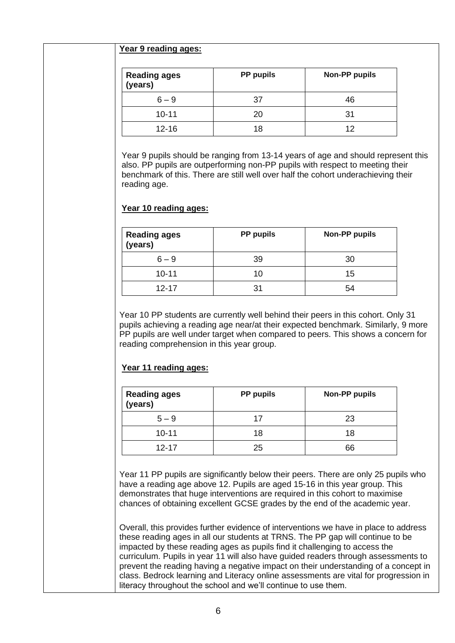#### **Year 9 reading ages:**

| <b>Reading ages</b><br>(years) | <b>PP</b> pupils | <b>Non-PP pupils</b> |
|--------------------------------|------------------|----------------------|
| $6 - 9$                        | 37               | 46                   |
| $10 - 11$                      | 20               | 31                   |
| $12 - 16$                      | 18               | 12                   |

Year 9 pupils should be ranging from 13-14 years of age and should represent this also. PP pupils are outperforming non-PP pupils with respect to meeting their benchmark of this. There are still well over half the cohort underachieving their reading age.

#### **Year 10 reading ages:**

| <b>Reading ages</b><br>(years) | <b>PP</b> pupils | <b>Non-PP pupils</b> |
|--------------------------------|------------------|----------------------|
| $6 - 9$                        | 39               | 30                   |
| $10 - 11$                      | 10               | 15                   |
| $12 - 17$                      |                  | 54                   |

Year 10 PP students are currently well behind their peers in this cohort. Only 31 pupils achieving a reading age near/at their expected benchmark. Similarly, 9 more PP pupils are well under target when compared to peers. This shows a concern for reading comprehension in this year group.

#### **Year 11 reading ages:**

| <b>Reading ages</b><br>(years) | <b>Non-PP pupils</b><br><b>PP</b> pupils |    |
|--------------------------------|------------------------------------------|----|
| $5 - 9$                        | 17                                       | 23 |
| $10 - 11$                      | 18                                       | 18 |
| $12 - 17$                      | 25                                       | 66 |

Year 11 PP pupils are significantly below their peers. There are only 25 pupils who have a reading age above 12. Pupils are aged 15-16 in this year group. This demonstrates that huge interventions are required in this cohort to maximise chances of obtaining excellent GCSE grades by the end of the academic year.

Overall, this provides further evidence of interventions we have in place to address these reading ages in all our students at TRNS. The PP gap will continue to be impacted by these reading ages as pupils find it challenging to access the curriculum. Pupils in year 11 will also have guided readers through assessments to prevent the reading having a negative impact on their understanding of a concept in class. Bedrock learning and Literacy online assessments are vital for progression in literacy throughout the school and we'll continue to use them.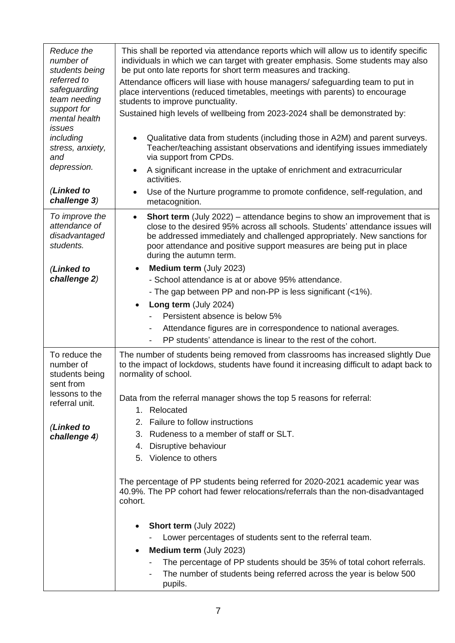| Reduce the<br>number of<br>students being<br>referred to<br>safeguarding<br>team needing<br>support for<br>mental health | This shall be reported via attendance reports which will allow us to identify specific<br>individuals in which we can target with greater emphasis. Some students may also<br>be put onto late reports for short term measures and tracking.<br>Attendance officers will liase with house managers/ safeguarding team to put in<br>place interventions (reduced timetables, meetings with parents) to encourage<br>students to improve punctuality.<br>Sustained high levels of wellbeing from 2023-2024 shall be demonstrated by: |
|--------------------------------------------------------------------------------------------------------------------------|------------------------------------------------------------------------------------------------------------------------------------------------------------------------------------------------------------------------------------------------------------------------------------------------------------------------------------------------------------------------------------------------------------------------------------------------------------------------------------------------------------------------------------|
| issues<br>including<br>stress, anxiety,<br>and                                                                           | Qualitative data from students (including those in A2M) and parent surveys.<br>Teacher/teaching assistant observations and identifying issues immediately<br>via support from CPDs.                                                                                                                                                                                                                                                                                                                                                |
| depression.                                                                                                              | A significant increase in the uptake of enrichment and extracurricular<br>activities.                                                                                                                                                                                                                                                                                                                                                                                                                                              |
| (Linked to<br>challenge 3)                                                                                               | Use of the Nurture programme to promote confidence, self-regulation, and<br>metacognition.                                                                                                                                                                                                                                                                                                                                                                                                                                         |
| To improve the<br>attendance of<br>disadvantaged<br>students.                                                            | <b>Short term</b> (July 2022) – attendance begins to show an improvement that is<br>$\bullet$<br>close to the desired 95% across all schools. Students' attendance issues will<br>be addressed immediately and challenged appropriately. New sanctions for<br>poor attendance and positive support measures are being put in place<br>during the autumn term.                                                                                                                                                                      |
| (Linked to                                                                                                               | Medium term (July 2023)<br>$\bullet$                                                                                                                                                                                                                                                                                                                                                                                                                                                                                               |
| challenge 2)                                                                                                             | - School attendance is at or above 95% attendance.                                                                                                                                                                                                                                                                                                                                                                                                                                                                                 |
|                                                                                                                          | - The gap between PP and non-PP is less significant (<1%).                                                                                                                                                                                                                                                                                                                                                                                                                                                                         |
|                                                                                                                          | Long term (July 2024)<br>$\bullet$                                                                                                                                                                                                                                                                                                                                                                                                                                                                                                 |
|                                                                                                                          | Persistent absence is below 5%                                                                                                                                                                                                                                                                                                                                                                                                                                                                                                     |
|                                                                                                                          | Attendance figures are in correspondence to national averages.<br>-                                                                                                                                                                                                                                                                                                                                                                                                                                                                |
|                                                                                                                          | PP students' attendance is linear to the rest of the cohort.<br>$\overline{\phantom{a}}$                                                                                                                                                                                                                                                                                                                                                                                                                                           |
| To reduce the<br>number of<br>students being<br>sent from                                                                | The number of students being removed from classrooms has increased slightly Due<br>to the impact of lockdows, students have found it increasing difficult to adapt back to<br>normality of school.                                                                                                                                                                                                                                                                                                                                 |
| lessons to the                                                                                                           | Data from the referral manager shows the top 5 reasons for referral:                                                                                                                                                                                                                                                                                                                                                                                                                                                               |
| referral unit.                                                                                                           | 1. Relocated                                                                                                                                                                                                                                                                                                                                                                                                                                                                                                                       |
|                                                                                                                          | Failure to follow instructions<br>2.                                                                                                                                                                                                                                                                                                                                                                                                                                                                                               |
| (Linked to<br>challenge 4)                                                                                               | 3. Rudeness to a member of staff or SLT.                                                                                                                                                                                                                                                                                                                                                                                                                                                                                           |
|                                                                                                                          | 4. Disruptive behaviour                                                                                                                                                                                                                                                                                                                                                                                                                                                                                                            |
|                                                                                                                          | 5. Violence to others                                                                                                                                                                                                                                                                                                                                                                                                                                                                                                              |
|                                                                                                                          | The percentage of PP students being referred for 2020-2021 academic year was<br>40.9%. The PP cohort had fewer relocations/referrals than the non-disadvantaged<br>cohort.                                                                                                                                                                                                                                                                                                                                                         |
|                                                                                                                          | <b>Short term (July 2022)</b><br>$\bullet$                                                                                                                                                                                                                                                                                                                                                                                                                                                                                         |
|                                                                                                                          | Lower percentages of students sent to the referral team.                                                                                                                                                                                                                                                                                                                                                                                                                                                                           |
|                                                                                                                          | Medium term (July 2023)<br>$\bullet$                                                                                                                                                                                                                                                                                                                                                                                                                                                                                               |
|                                                                                                                          | The percentage of PP students should be 35% of total cohort referrals.                                                                                                                                                                                                                                                                                                                                                                                                                                                             |
|                                                                                                                          | The number of students being referred across the year is below 500<br>pupils.                                                                                                                                                                                                                                                                                                                                                                                                                                                      |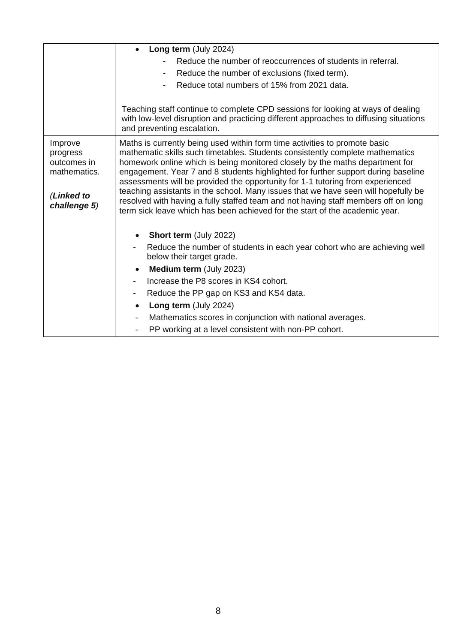|                                    | Long term (July 2024)                                                                                                                                                                                                                       |
|------------------------------------|---------------------------------------------------------------------------------------------------------------------------------------------------------------------------------------------------------------------------------------------|
|                                    | Reduce the number of reoccurrences of students in referral.                                                                                                                                                                                 |
|                                    | Reduce the number of exclusions (fixed term).<br>٠                                                                                                                                                                                          |
|                                    | Reduce total numbers of 15% from 2021 data.                                                                                                                                                                                                 |
|                                    |                                                                                                                                                                                                                                             |
|                                    | Teaching staff continue to complete CPD sessions for looking at ways of dealing<br>with low-level disruption and practicing different approaches to diffusing situations<br>and preventing escalation.                                      |
| Improve<br>progress<br>outcomes in | Maths is currently being used within form time activities to promote basic<br>mathematic skills such timetables. Students consistently complete mathematics<br>homework online which is being monitored closely by the maths department for |
| mathematics.                       | engagement. Year 7 and 8 students highlighted for further support during baseline                                                                                                                                                           |
|                                    | assessments will be provided the opportunity for 1-1 tutoring from experienced<br>teaching assistants in the school. Many issues that we have seen will hopefully be                                                                        |
| (Linked to<br>challenge 5)         | resolved with having a fully staffed team and not having staff members off on long                                                                                                                                                          |
|                                    | term sick leave which has been achieved for the start of the academic year.                                                                                                                                                                 |
|                                    |                                                                                                                                                                                                                                             |
|                                    | <b>Short term (July 2022)</b>                                                                                                                                                                                                               |
|                                    | Reduce the number of students in each year cohort who are achieving well<br>below their target grade.                                                                                                                                       |
|                                    | <b>Medium term (July 2023)</b><br>$\bullet$                                                                                                                                                                                                 |
|                                    | Increase the P8 scores in KS4 cohort.<br>$\blacksquare$                                                                                                                                                                                     |
|                                    | Reduce the PP gap on KS3 and KS4 data.<br>$\overline{\phantom{a}}$                                                                                                                                                                          |
|                                    | Long term (July 2024)<br>$\bullet$                                                                                                                                                                                                          |
|                                    | Mathematics scores in conjunction with national averages.                                                                                                                                                                                   |
|                                    | PP working at a level consistent with non-PP cohort.                                                                                                                                                                                        |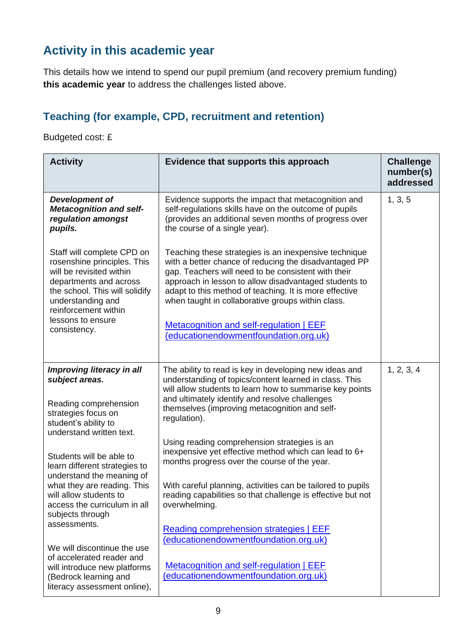## **Activity in this academic year**

This details how we intend to spend our pupil premium (and recovery premium funding) **this academic year** to address the challenges listed above.

### **Teaching (for example, CPD, recruitment and retention)**

Budgeted cost: £

| <b>Activity</b>                                                                                                                                                                                                                                                                                                                                                                                                                    | Evidence that supports this approach                                                                                                                                                                                                                                                                                                                                                                                                                                                                                                                                                                                                                                                       | <b>Challenge</b><br>number(s)<br>addressed |
|------------------------------------------------------------------------------------------------------------------------------------------------------------------------------------------------------------------------------------------------------------------------------------------------------------------------------------------------------------------------------------------------------------------------------------|--------------------------------------------------------------------------------------------------------------------------------------------------------------------------------------------------------------------------------------------------------------------------------------------------------------------------------------------------------------------------------------------------------------------------------------------------------------------------------------------------------------------------------------------------------------------------------------------------------------------------------------------------------------------------------------------|--------------------------------------------|
| <b>Development of</b><br><b>Metacognition and self-</b><br>regulation amongst<br>pupils.                                                                                                                                                                                                                                                                                                                                           | Evidence supports the impact that metacognition and<br>self-regulations skills have on the outcome of pupils<br>(provides an additional seven months of progress over<br>the course of a single year).                                                                                                                                                                                                                                                                                                                                                                                                                                                                                     | 1, 3, 5                                    |
| Staff will complete CPD on<br>rosenshine principles. This<br>will be revisited within<br>departments and across<br>the school. This will solidify<br>understanding and<br>reinforcement within<br>lessons to ensure<br>consistency.                                                                                                                                                                                                | Teaching these strategies is an inexpensive technique<br>with a better chance of reducing the disadvantaged PP<br>gap. Teachers will need to be consistent with their<br>approach in lesson to allow disadvantaged students to<br>adapt to this method of teaching. It is more effective<br>when taught in collaborative groups within class.<br><b>Metacognition and self-regulation   EEF</b><br>(educationendowmentfoundation.org.uk)                                                                                                                                                                                                                                                   |                                            |
| Improving literacy in all<br>subject areas.<br>Reading comprehension<br>strategies focus on<br>student's ability to<br>understand written text.<br>Students will be able to<br>learn different strategies to<br>understand the meaning of<br>what they are reading. This<br>will allow students to<br>access the curriculum in all<br>subjects through<br>assessments.<br>We will discontinue the use<br>of accelerated reader and | The ability to read is key in developing new ideas and<br>understanding of topics/content learned in class. This<br>will allow students to learn how to summarise key points<br>and ultimately identify and resolve challenges<br>themselves (improving metacognition and self-<br>regulation).<br>Using reading comprehension strategies is an<br>inexpensive yet effective method which can lead to 6+<br>months progress over the course of the year.<br>With careful planning, activities can be tailored to pupils<br>reading capabilities so that challenge is effective but not<br>overwhelming.<br>Reading comprehension strategies   EEF<br>(educationendowmentfoundation.org.uk) | 1, 2, 3, 4                                 |
| will introduce new platforms<br>(Bedrock learning and<br>literacy assessment online),                                                                                                                                                                                                                                                                                                                                              | Metacognition and self-regulation   EEF<br>(educationendowmentfoundation.org.uk)                                                                                                                                                                                                                                                                                                                                                                                                                                                                                                                                                                                                           |                                            |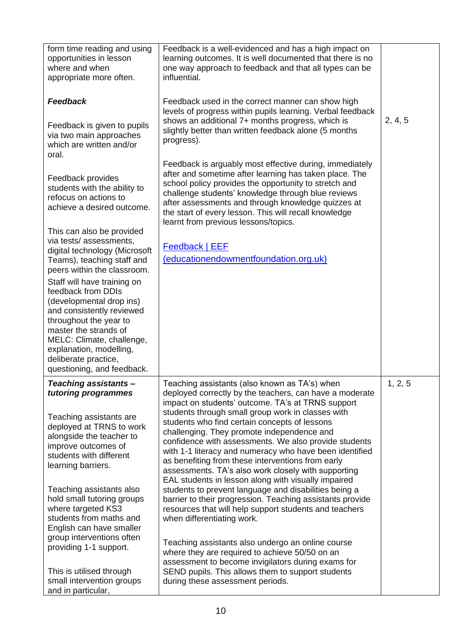| form time reading and using<br>opportunities in lesson<br>where and when<br>appropriate more often.                                                                                                                                                                                          | Feedback is a well-evidenced and has a high impact on<br>learning outcomes. It is well documented that there is no<br>one way approach to feedback and that all types can be<br>influential.                                                                                                                                                                                                                                                                                                                                                                                                                                                                                                                                                                                             |         |
|----------------------------------------------------------------------------------------------------------------------------------------------------------------------------------------------------------------------------------------------------------------------------------------------|------------------------------------------------------------------------------------------------------------------------------------------------------------------------------------------------------------------------------------------------------------------------------------------------------------------------------------------------------------------------------------------------------------------------------------------------------------------------------------------------------------------------------------------------------------------------------------------------------------------------------------------------------------------------------------------------------------------------------------------------------------------------------------------|---------|
| <b>Feedback</b><br>Feedback is given to pupils<br>via two main approaches<br>which are written and/or                                                                                                                                                                                        | Feedback used in the correct manner can show high<br>levels of progress within pupils learning. Verbal feedback<br>shows an additional 7+ months progress, which is<br>slightly better than written feedback alone (5 months<br>progress).                                                                                                                                                                                                                                                                                                                                                                                                                                                                                                                                               | 2, 4, 5 |
| oral.<br>Feedback provides<br>students with the ability to<br>refocus on actions to<br>achieve a desired outcome.                                                                                                                                                                            | Feedback is arguably most effective during, immediately<br>after and sometime after learning has taken place. The<br>school policy provides the opportunity to stretch and<br>challenge students' knowledge through blue reviews<br>after assessments and through knowledge quizzes at<br>the start of every lesson. This will recall knowledge<br>learnt from previous lessons/topics.                                                                                                                                                                                                                                                                                                                                                                                                  |         |
| This can also be provided<br>via tests/assessments,<br>digital technology (Microsoft<br>Teams), teaching staff and<br>peers within the classroom.                                                                                                                                            | <b>Feedback   EEF</b><br>(educationendowmentfoundation.org.uk)                                                                                                                                                                                                                                                                                                                                                                                                                                                                                                                                                                                                                                                                                                                           |         |
| Staff will have training on<br>feedback from DDIs<br>(developmental drop ins)<br>and consistently reviewed<br>throughout the year to<br>master the strands of<br>MELC: Climate, challenge,<br>explanation, modelling,<br>deliberate practice,<br>questioning, and feedback.                  |                                                                                                                                                                                                                                                                                                                                                                                                                                                                                                                                                                                                                                                                                                                                                                                          |         |
| <b>Teaching assistants</b><br>tutoring programmes<br>Teaching assistants are<br>deployed at TRNS to work<br>alongside the teacher to<br>improve outcomes of<br>students with different<br>learning barriers.<br>Teaching assistants also<br>hold small tutoring groups<br>where targeted KS3 | Teaching assistants (also known as TA's) when<br>deployed correctly by the teachers, can have a moderate<br>impact on students' outcome. TA's at TRNS support<br>students through small group work in classes with<br>students who find certain concepts of lessons<br>challenging. They promote independence and<br>confidence with assessments. We also provide students<br>with 1-1 literacy and numeracy who have been identified<br>as benefiting from these interventions from early<br>assessments. TA's also work closely with supporting<br>EAL students in lesson along with visually impaired<br>students to prevent language and disabilities being a<br>barrier to their progression. Teaching assistants provide<br>resources that will help support students and teachers | 1, 2, 5 |
| students from maths and<br>English can have smaller<br>group interventions often<br>providing 1-1 support.<br>This is utilised through<br>small intervention groups<br>and in particular,                                                                                                    | when differentiating work.<br>Teaching assistants also undergo an online course<br>where they are required to achieve 50/50 on an<br>assessment to become invigilators during exams for<br>SEND pupils. This allows them to support students<br>during these assessment periods.                                                                                                                                                                                                                                                                                                                                                                                                                                                                                                         |         |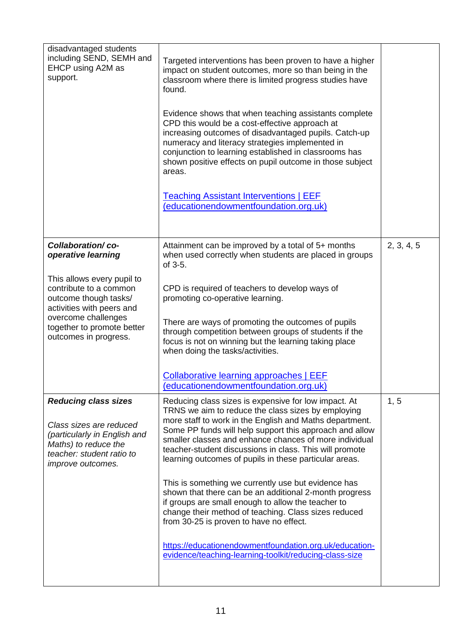| disadvantaged students<br>including SEND, SEMH and<br>EHCP using A2M as<br>support.                                                                                                                                                 | Targeted interventions has been proven to have a higher<br>impact on student outcomes, more so than being in the<br>classroom where there is limited progress studies have<br>found.<br>Evidence shows that when teaching assistants complete<br>CPD this would be a cost-effective approach at<br>increasing outcomes of disadvantaged pupils. Catch-up<br>numeracy and literacy strategies implemented in<br>conjunction to learning established in classrooms has<br>shown positive effects on pupil outcome in those subject<br>areas.<br><b>Teaching Assistant Interventions   EEF</b><br>(educationendowmentfoundation.org.uk)                                                                                                                                                                          |            |
|-------------------------------------------------------------------------------------------------------------------------------------------------------------------------------------------------------------------------------------|---------------------------------------------------------------------------------------------------------------------------------------------------------------------------------------------------------------------------------------------------------------------------------------------------------------------------------------------------------------------------------------------------------------------------------------------------------------------------------------------------------------------------------------------------------------------------------------------------------------------------------------------------------------------------------------------------------------------------------------------------------------------------------------------------------------|------------|
| Collaboration/co-<br>operative learning<br>This allows every pupil to<br>contribute to a common<br>outcome though tasks/<br>activities with peers and<br>overcome challenges<br>together to promote better<br>outcomes in progress. | Attainment can be improved by a total of 5+ months<br>when used correctly when students are placed in groups<br>of 3-5.<br>CPD is required of teachers to develop ways of<br>promoting co-operative learning.<br>There are ways of promoting the outcomes of pupils<br>through competition between groups of students if the<br>focus is not on winning but the learning taking place<br>when doing the tasks/activities.<br><b>Collaborative learning approaches   EEF</b><br>(educationendowmentfoundation.org.uk)                                                                                                                                                                                                                                                                                          | 2, 3, 4, 5 |
| <b>Reducing class sizes</b><br>Class sizes are reduced<br>(particularly in English and<br>Maths) to reduce the<br>teacher: student ratio to<br><i>improve outcomes.</i>                                                             | Reducing class sizes is expensive for low impact. At<br>TRNS we aim to reduce the class sizes by employing<br>more staff to work in the English and Maths department.<br>Some PP funds will help support this approach and allow<br>smaller classes and enhance chances of more individual<br>teacher-student discussions in class. This will promote<br>learning outcomes of pupils in these particular areas.<br>This is something we currently use but evidence has<br>shown that there can be an additional 2-month progress<br>if groups are small enough to allow the teacher to<br>change their method of teaching. Class sizes reduced<br>from 30-25 is proven to have no effect.<br>https://educationendowmentfoundation.org.uk/education-<br>evidence/teaching-learning-toolkit/reducing-class-size | 1, 5       |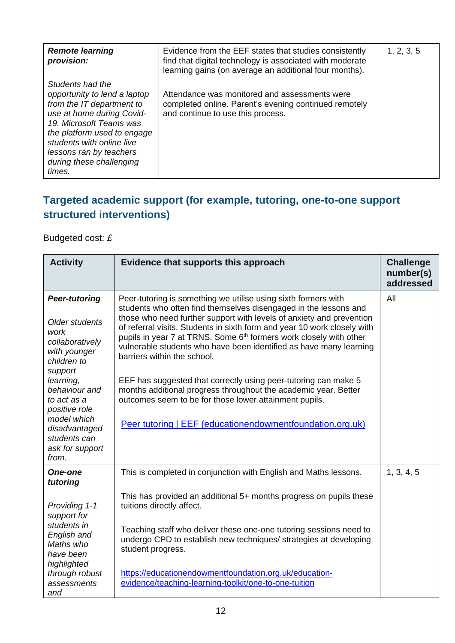| <b>Remote learning</b><br>provision:                                                                                                                                                                                                                               | Evidence from the EEF states that studies consistently<br>find that digital technology is associated with moderate<br>learning gains (on average an additional four months). | 1, 2, 3, 5 |
|--------------------------------------------------------------------------------------------------------------------------------------------------------------------------------------------------------------------------------------------------------------------|------------------------------------------------------------------------------------------------------------------------------------------------------------------------------|------------|
| Students had the<br>opportunity to lend a laptop<br>from the IT department to<br>use at home during Covid-<br>19. Microsoft Teams was<br>the platform used to engage<br>students with online live<br>lessons ran by teachers<br>during these challenging<br>times. | Attendance was monitored and assessments were<br>completed online. Parent's evening continued remotely<br>and continue to use this process.                                  |            |

### **Targeted academic support (for example, tutoring, one-to-one support structured interventions)**

Budgeted cost: *£*

| <b>Activity</b>                                                                                                                                                                                                                                       | Evidence that supports this approach                                                                                                                                                                                                                                                                                                                                                                                                                                                                                                                                                                                                                                                                                                       | <b>Challenge</b><br>number(s)<br>addressed |
|-------------------------------------------------------------------------------------------------------------------------------------------------------------------------------------------------------------------------------------------------------|--------------------------------------------------------------------------------------------------------------------------------------------------------------------------------------------------------------------------------------------------------------------------------------------------------------------------------------------------------------------------------------------------------------------------------------------------------------------------------------------------------------------------------------------------------------------------------------------------------------------------------------------------------------------------------------------------------------------------------------------|--------------------------------------------|
| <b>Peer-tutoring</b><br>Older students<br>work<br>collaboratively<br>with younger<br>children to<br>support<br>learning,<br>behaviour and<br>to act as a<br>positive role<br>model which<br>disadvantaged<br>students can<br>ask for support<br>from. | Peer-tutoring is something we utilise using sixth formers with<br>students who often find themselves disengaged in the lessons and<br>those who need further support with levels of anxiety and prevention<br>of referral visits. Students in sixth form and year 10 work closely with<br>pupils in year 7 at TRNS. Some 6 <sup>th</sup> formers work closely with other<br>vulnerable students who have been identified as have many learning<br>barriers within the school.<br>EEF has suggested that correctly using peer-tutoring can make 5<br>months additional progress throughout the academic year. Better<br>outcomes seem to be for those lower attainment pupils.<br>Peer tutoring   EEF (educationendowmentfoundation.org.uk) | All                                        |
| <b>One-one</b><br>tutoring                                                                                                                                                                                                                            | This is completed in conjunction with English and Maths lessons.                                                                                                                                                                                                                                                                                                                                                                                                                                                                                                                                                                                                                                                                           | 1, 3, 4, 5                                 |
| Providing 1-1<br>support for<br>students in<br>English and<br>Maths who<br>have been<br>highlighted                                                                                                                                                   | This has provided an additional 5+ months progress on pupils these<br>tuitions directly affect.<br>Teaching staff who deliver these one-one tutoring sessions need to<br>undergo CPD to establish new techniques/ strategies at developing<br>student progress.                                                                                                                                                                                                                                                                                                                                                                                                                                                                            |                                            |
| through robust<br>assessments<br>and                                                                                                                                                                                                                  | https://educationendowmentfoundation.org.uk/education-<br>evidence/teaching-learning-toolkit/one-to-one-tuition                                                                                                                                                                                                                                                                                                                                                                                                                                                                                                                                                                                                                            |                                            |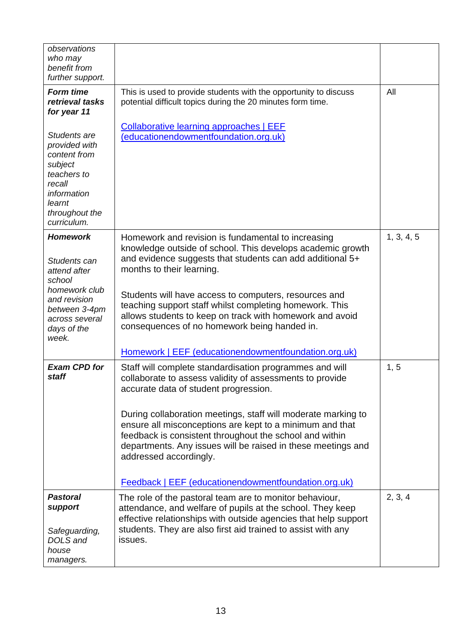| observations<br>who may<br>benefit from<br>further support.                                                                                           |                                                                                                                                                                                                                                                                                                                                                                                                                                                                                                        |            |
|-------------------------------------------------------------------------------------------------------------------------------------------------------|--------------------------------------------------------------------------------------------------------------------------------------------------------------------------------------------------------------------------------------------------------------------------------------------------------------------------------------------------------------------------------------------------------------------------------------------------------------------------------------------------------|------------|
| <b>Form time</b><br>retrieval tasks<br>for year 11                                                                                                    | This is used to provide students with the opportunity to discuss<br>potential difficult topics during the 20 minutes form time.                                                                                                                                                                                                                                                                                                                                                                        | All        |
| Students are<br>provided with<br>content from<br>subject<br>teachers to<br>recall<br>information<br>learnt<br>throughout the<br>curriculum.           | <b>Collaborative learning approaches   EEF</b><br>(educationendowmentfoundation.org.uk)                                                                                                                                                                                                                                                                                                                                                                                                                |            |
| <b>Homework</b><br>Students can<br>attend after<br>school<br>homework club<br>and revision<br>between 3-4pm<br>across several<br>days of the<br>week. | Homework and revision is fundamental to increasing<br>knowledge outside of school. This develops academic growth<br>and evidence suggests that students can add additional 5+<br>months to their learning.<br>Students will have access to computers, resources and<br>teaching support staff whilst completing homework. This<br>allows students to keep on track with homework and avoid<br>consequences of no homework being handed in.<br>Homework   EEF (educationendowmentfoundation.org.uk)     | 1, 3, 4, 5 |
| <b>Exam CPD for</b><br>staff                                                                                                                          | Staff will complete standardisation programmes and will<br>collaborate to assess validity of assessments to provide<br>accurate data of student progression.<br>During collaboration meetings, staff will moderate marking to<br>ensure all misconceptions are kept to a minimum and that<br>feedback is consistent throughout the school and within<br>departments. Any issues will be raised in these meetings and<br>addressed accordingly.<br>Feedback   EEF (educationendowmentfoundation.org.uk) | 1, 5       |
| <b>Pastoral</b><br>support<br>Safeguarding,<br>DOLS and<br>house<br>managers.                                                                         | The role of the pastoral team are to monitor behaviour,<br>attendance, and welfare of pupils at the school. They keep<br>effective relationships with outside agencies that help support<br>students. They are also first aid trained to assist with any<br>issues.                                                                                                                                                                                                                                    | 2, 3, 4    |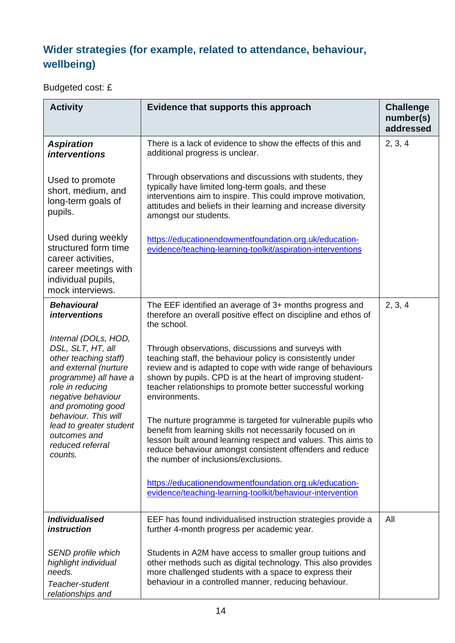## **Wider strategies (for example, related to attendance, behaviour, wellbeing)**

Budgeted cost: £

| <b>Activity</b>                                                                                                                                                                                                                                                                                                                              | Evidence that supports this approach                                                                                                                                                                                                                                                                                         | <b>Challenge</b><br>number(s)<br>addressed |
|----------------------------------------------------------------------------------------------------------------------------------------------------------------------------------------------------------------------------------------------------------------------------------------------------------------------------------------------|------------------------------------------------------------------------------------------------------------------------------------------------------------------------------------------------------------------------------------------------------------------------------------------------------------------------------|--------------------------------------------|
| <b>Aspiration</b><br><i>interventions</i>                                                                                                                                                                                                                                                                                                    | There is a lack of evidence to show the effects of this and<br>additional progress is unclear.                                                                                                                                                                                                                               | 2, 3, 4                                    |
| Used to promote<br>short, medium, and<br>long-term goals of<br>pupils.                                                                                                                                                                                                                                                                       | Through observations and discussions with students, they<br>typically have limited long-term goals, and these<br>interventions aim to inspire. This could improve motivation,<br>attitudes and beliefs in their learning and increase diversity<br>amongst our students.                                                     |                                            |
| Used during weekly<br>https://educationendowmentfoundation.org.uk/education-<br>structured form time<br>evidence/teaching-learning-toolkit/aspiration-interventions<br>career activities,<br>career meetings with<br>individual pupils,<br>mock interviews.                                                                                  |                                                                                                                                                                                                                                                                                                                              |                                            |
| <b>Behavioural</b><br><i>interventions</i>                                                                                                                                                                                                                                                                                                   | The EEF identified an average of 3+ months progress and<br>therefore an overall positive effect on discipline and ethos of<br>the school.                                                                                                                                                                                    | 2, 3, 4                                    |
| Internal (DOLs, HOD,<br>DSL, SLT, HT, all<br>other teaching staff)<br>and external (nurture<br>programme) all have a<br>role in reducing<br>negative behaviour<br>and promoting good                                                                                                                                                         | Through observations, discussions and surveys with<br>teaching staff, the behaviour policy is consistently under<br>review and is adapted to cope with wide range of behaviours<br>shown by pupils. CPD is at the heart of improving student-<br>teacher relationships to promote better successful working<br>environments. |                                            |
| behaviour. This will<br>lead to greater student<br>outcomes and<br>reduced referral<br>counts.                                                                                                                                                                                                                                               | The nurture programme is targeted for vulnerable pupils who<br>benefit from learning skills not necessarily focused on in<br>lesson built around learning respect and values. This aims to<br>reduce behaviour amongst consistent offenders and reduce<br>the number of inclusions/exclusions.                               |                                            |
|                                                                                                                                                                                                                                                                                                                                              | https://educationendowmentfoundation.org.uk/education-<br>evidence/teaching-learning-toolkit/behaviour-intervention                                                                                                                                                                                                          |                                            |
| <b>Individualised</b><br><i>instruction</i>                                                                                                                                                                                                                                                                                                  | EEF has found individualised instruction strategies provide a<br>further 4-month progress per academic year.                                                                                                                                                                                                                 | All                                        |
| SEND profile which<br>Students in A2M have access to smaller group tuitions and<br>highlight individual<br>other methods such as digital technology. This also provides<br>needs.<br>more challenged students with a space to express their<br>behaviour in a controlled manner, reducing behaviour.<br>Teacher-student<br>relationships and |                                                                                                                                                                                                                                                                                                                              |                                            |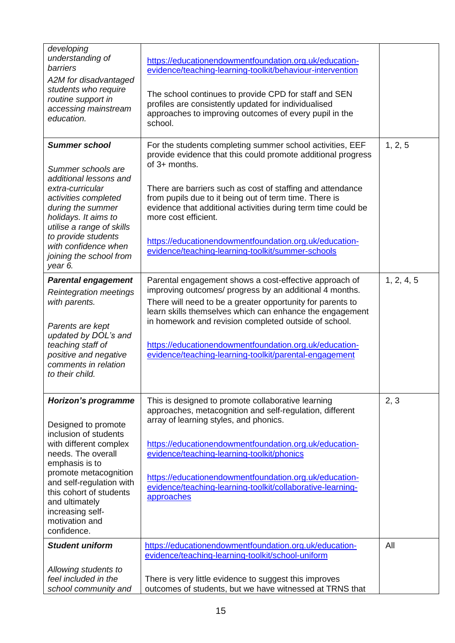| developing<br>understanding of<br>barriers<br>A2M for disadvantaged<br>students who require<br>routine support in<br>accessing mainstream<br>education.                                                                                                                                      | https://educationendowmentfoundation.org.uk/education-<br>evidence/teaching-learning-toolkit/behaviour-intervention<br>The school continues to provide CPD for staff and SEN<br>profiles are consistently updated for individualised<br>approaches to improving outcomes of every pupil in the<br>school.                                                                                                                                                                  |            |
|----------------------------------------------------------------------------------------------------------------------------------------------------------------------------------------------------------------------------------------------------------------------------------------------|----------------------------------------------------------------------------------------------------------------------------------------------------------------------------------------------------------------------------------------------------------------------------------------------------------------------------------------------------------------------------------------------------------------------------------------------------------------------------|------------|
| <b>Summer school</b><br>Summer schools are<br>additional lessons and<br>extra-curricular<br>activities completed<br>during the summer<br>holidays. It aims to<br>utilise a range of skills<br>to provide students<br>with confidence when<br>joining the school from<br>year 6.              | For the students completing summer school activities, EEF<br>provide evidence that this could promote additional progress<br>of 3+ months.<br>There are barriers such as cost of staffing and attendance<br>from pupils due to it being out of term time. There is<br>evidence that additional activities during term time could be<br>more cost efficient.<br>https://educationendowmentfoundation.org.uk/education-<br>evidence/teaching-learning-toolkit/summer-schools | 1, 2, 5    |
| <b>Parental engagement</b><br><b>Reintegration meetings</b><br>with parents.<br>Parents are kept<br>updated by DOL's and<br>teaching staff of<br>positive and negative<br>comments in relation<br>to their child.                                                                            | Parental engagement shows a cost-effective approach of<br>improving outcomes/ progress by an additional 4 months.<br>There will need to be a greater opportunity for parents to<br>learn skills themselves which can enhance the engagement<br>in homework and revision completed outside of school.<br>https://educationendowmentfoundation.org.uk/education-<br>evidence/teaching-learning-toolkit/parental-engagement                                                   | 1, 2, 4, 5 |
| Horizon's programme<br>Designed to promote<br>inclusion of students<br>with different complex<br>needs. The overall<br>emphasis is to<br>promote metacognition<br>and self-regulation with<br>this cohort of students<br>and ultimately<br>increasing self-<br>motivation and<br>confidence. | This is designed to promote collaborative learning<br>approaches, metacognition and self-regulation, different<br>array of learning styles, and phonics.<br>https://educationendowmentfoundation.org.uk/education-<br>evidence/teaching-learning-toolkit/phonics<br>https://educationendowmentfoundation.org.uk/education-<br>evidence/teaching-learning-toolkit/collaborative-learning-<br>approaches                                                                     | 2, 3       |
| <b>Student uniform</b><br>Allowing students to<br>feel included in the<br>school community and                                                                                                                                                                                               | https://educationendowmentfoundation.org.uk/education-<br>evidence/teaching-learning-toolkit/school-uniform<br>There is very little evidence to suggest this improves<br>outcomes of students, but we have witnessed at TRNS that                                                                                                                                                                                                                                          | All        |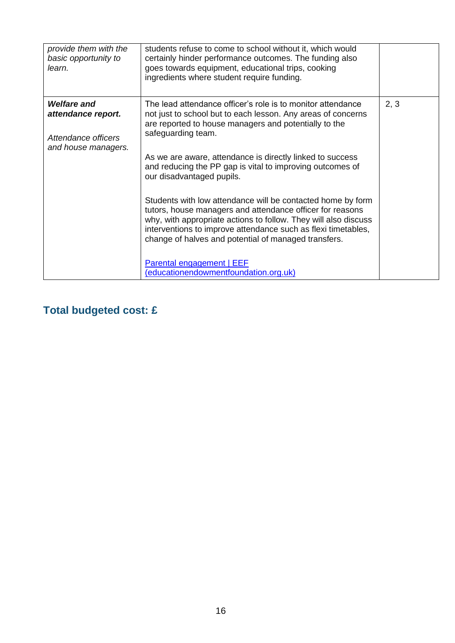| provide them with the<br>basic opportunity to<br>learn.                                | students refuse to come to school without it, which would<br>certainly hinder performance outcomes. The funding also<br>goes towards equipment, educational trips, cooking<br>ingredients where student require funding.                                                                                                                                                                                                                                                                                                                                                                                                                                                                                                                                        |      |
|----------------------------------------------------------------------------------------|-----------------------------------------------------------------------------------------------------------------------------------------------------------------------------------------------------------------------------------------------------------------------------------------------------------------------------------------------------------------------------------------------------------------------------------------------------------------------------------------------------------------------------------------------------------------------------------------------------------------------------------------------------------------------------------------------------------------------------------------------------------------|------|
| <b>Welfare and</b><br>attendance report.<br>Attendance officers<br>and house managers. | The lead attendance officer's role is to monitor attendance<br>not just to school but to each lesson. Any areas of concerns<br>are reported to house managers and potentially to the<br>safeguarding team.<br>As we are aware, attendance is directly linked to success<br>and reducing the PP gap is vital to improving outcomes of<br>our disadvantaged pupils.<br>Students with low attendance will be contacted home by form<br>tutors, house managers and attendance officer for reasons<br>why, with appropriate actions to follow. They will also discuss<br>interventions to improve attendance such as flexi timetables,<br>change of halves and potential of managed transfers.<br>Parental engagement   EEF<br>(educationendowmentfoundation.org.uk) | 2, 3 |

## **Total budgeted cost: £**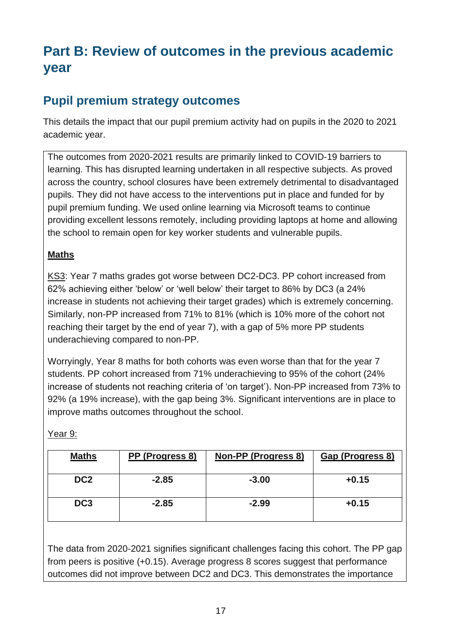# **Part B: Review of outcomes in the previous academic year**

### **Pupil premium strategy outcomes**

This details the impact that our pupil premium activity had on pupils in the 2020 to 2021 academic year.

The outcomes from 2020-2021 results are primarily linked to COVID-19 barriers to learning. This has disrupted learning undertaken in all respective subjects. As proved across the country, school closures have been extremely detrimental to disadvantaged pupils. They did not have access to the interventions put in place and funded for by pupil premium funding. We used online learning via Microsoft teams to continue providing excellent lessons remotely, including providing laptops at home and allowing the school to remain open for key worker students and vulnerable pupils.

#### **Maths**

KS3: Year 7 maths grades got worse between DC2-DC3. PP cohort increased from 62% achieving either 'below' or 'well below' their target to 86% by DC3 (a 24% increase in students not achieving their target grades) which is extremely concerning. Similarly, non-PP increased from 71% to 81% (which is 10% more of the cohort not reaching their target by the end of year 7), with a gap of 5% more PP students underachieving compared to non-PP.

Worryingly, Year 8 maths for both cohorts was even worse than that for the year 7 students. PP cohort increased from 71% underachieving to 95% of the cohort (24% increase of students not reaching criteria of 'on target'). Non-PP increased from 73% to 92% (a 19% increase), with the gap being 3%. Significant interventions are in place to improve maths outcomes throughout the school.

|--|

| <b>Maths</b>    | PP (Progress 8) | <b>Non-PP (Progress 8)</b> | Gap (Progress 8) |
|-----------------|-----------------|----------------------------|------------------|
| DC <sub>2</sub> | $-2.85$         | $-3.00$                    | $+0.15$          |
| DC <sub>3</sub> | $-2.85$         | $-2.99$                    | $+0.15$          |

The data from 2020-2021 signifies significant challenges facing this cohort. The PP gap from peers is positive (+0.15). Average progress 8 scores suggest that performance outcomes did not improve between DC2 and DC3. This demonstrates the importance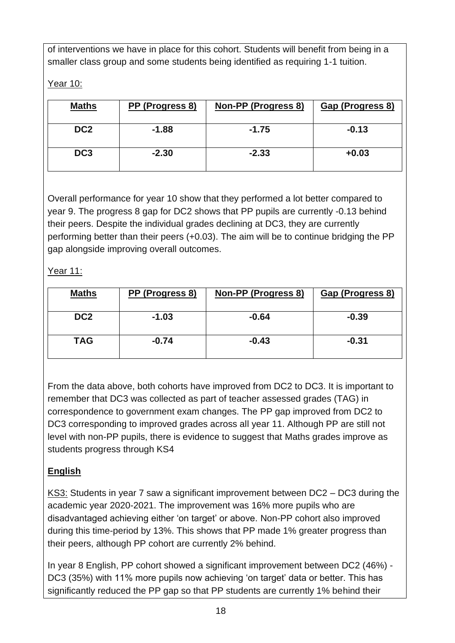of interventions we have in place for this cohort. Students will benefit from being in a smaller class group and some students being identified as requiring 1-1 tuition.

Year 10:

| <b>Maths</b>    | PP (Progress 8) | Non-PP (Progress 8) | Gap (Progress 8) |
|-----------------|-----------------|---------------------|------------------|
| DC <sub>2</sub> | $-1.88$         | $-1.75$             | $-0.13$          |
| DC <sub>3</sub> | $-2.30$         | $-2.33$             | $+0.03$          |

Overall performance for year 10 show that they performed a lot better compared to year 9. The progress 8 gap for DC2 shows that PP pupils are currently -0.13 behind their peers. Despite the individual grades declining at DC3, they are currently performing better than their peers (+0.03). The aim will be to continue bridging the PP gap alongside improving overall outcomes.

Year 11:

| <b>Maths</b>    | PP (Progress 8) | Non-PP (Progress 8) | Gap (Progress 8) |
|-----------------|-----------------|---------------------|------------------|
| DC <sub>2</sub> | $-1.03$         | $-0.64$             | $-0.39$          |
| <b>TAG</b>      | $-0.74$         | $-0.43$             | $-0.31$          |

From the data above, both cohorts have improved from DC2 to DC3. It is important to remember that DC3 was collected as part of teacher assessed grades (TAG) in correspondence to government exam changes. The PP gap improved from DC2 to DC3 corresponding to improved grades across all year 11. Although PP are still not level with non-PP pupils, there is evidence to suggest that Maths grades improve as students progress through KS4

#### **English**

KS3: Students in year 7 saw a significant improvement between DC2 – DC3 during the academic year 2020-2021. The improvement was 16% more pupils who are disadvantaged achieving either 'on target' or above. Non-PP cohort also improved during this time-period by 13%. This shows that PP made 1% greater progress than their peers, although PP cohort are currently 2% behind.

In year 8 English, PP cohort showed a significant improvement between DC2 (46%) - DC3 (35%) with 11% more pupils now achieving 'on target' data or better. This has significantly reduced the PP gap so that PP students are currently 1% behind their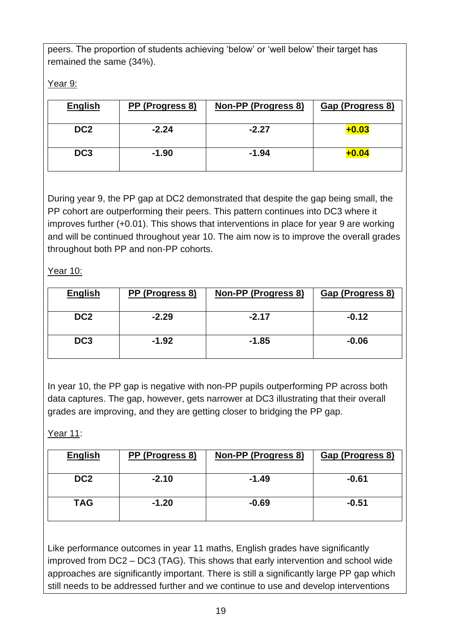peers. The proportion of students achieving 'below' or 'well below' their target has remained the same (34%).

Year 9:

| <b>English</b>  | PP (Progress 8) | <b>Non-PP (Progress 8)</b> | Gap (Progress 8) |
|-----------------|-----------------|----------------------------|------------------|
| DC <sub>2</sub> | $-2.24$         | $-2.27$                    | $+0.03$          |
| DC <sub>3</sub> | $-1.90$         | $-1.94$                    | $+0.04$          |

During year 9, the PP gap at DC2 demonstrated that despite the gap being small, the PP cohort are outperforming their peers. This pattern continues into DC3 where it improves further (+0.01). This shows that interventions in place for year 9 are working and will be continued throughout year 10. The aim now is to improve the overall grades throughout both PP and non-PP cohorts.

Year 10:

| <b>English</b>  | PP (Progress 8) | Non-PP (Progress 8) | Gap (Progress 8) |
|-----------------|-----------------|---------------------|------------------|
| DC <sub>2</sub> | $-2.29$         | $-2.17$             | $-0.12$          |
| DC <sub>3</sub> | $-1.92$         | $-1.85$             | $-0.06$          |

In year 10, the PP gap is negative with non-PP pupils outperforming PP across both data captures. The gap, however, gets narrower at DC3 illustrating that their overall grades are improving, and they are getting closer to bridging the PP gap.

Year 11:

| <b>English</b>  | PP (Progress 8) | Non-PP (Progress 8) | Gap (Progress 8) |
|-----------------|-----------------|---------------------|------------------|
| DC <sub>2</sub> | $-2.10$         | $-1.49$             | $-0.61$          |
| <b>TAG</b>      | $-1.20$         | $-0.69$             | $-0.51$          |

Like performance outcomes in year 11 maths, English grades have significantly improved from DC2 – DC3 (TAG). This shows that early intervention and school wide approaches are significantly important. There is still a significantly large PP gap which still needs to be addressed further and we continue to use and develop interventions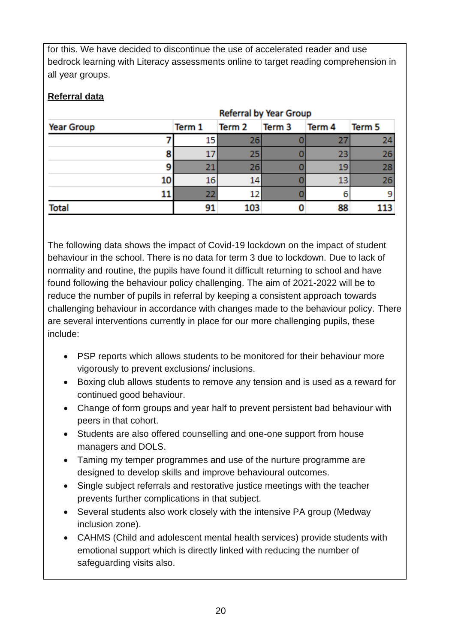for this. We have decided to discontinue the use of accelerated reader and use bedrock learning with Literacy assessments online to target reading comprehension in all year groups.

#### **Referral data**

|                   | <b>Referral by Year Group</b> |        |        |                   |        |        |
|-------------------|-------------------------------|--------|--------|-------------------|--------|--------|
| <b>Year Group</b> |                               | Term 1 | Term 2 | Term <sub>3</sub> | Term 4 | Term 5 |
|                   |                               |        | 26     |                   |        | 24     |
|                   | 8                             |        | 25     |                   |        | 26     |
|                   |                               | יכ     | 26     |                   | 19     | 28     |
|                   | 10                            | 16     | 14     |                   |        | 26     |
|                   |                               | 22     | 12     |                   |        |        |
| <b>Total</b>      |                               |        | 103    |                   |        |        |

The following data shows the impact of Covid-19 lockdown on the impact of student behaviour in the school. There is no data for term 3 due to lockdown. Due to lack of normality and routine, the pupils have found it difficult returning to school and have found following the behaviour policy challenging. The aim of 2021-2022 will be to reduce the number of pupils in referral by keeping a consistent approach towards challenging behaviour in accordance with changes made to the behaviour policy. There are several interventions currently in place for our more challenging pupils, these include:

- PSP reports which allows students to be monitored for their behaviour more vigorously to prevent exclusions/ inclusions.
- Boxing club allows students to remove any tension and is used as a reward for continued good behaviour.
- Change of form groups and year half to prevent persistent bad behaviour with peers in that cohort.
- Students are also offered counselling and one-one support from house managers and DOLS.
- Taming my temper programmes and use of the nurture programme are designed to develop skills and improve behavioural outcomes.
- Single subject referrals and restorative justice meetings with the teacher prevents further complications in that subject.
- Several students also work closely with the intensive PA group (Medway inclusion zone).
- CAHMS (Child and adolescent mental health services) provide students with emotional support which is directly linked with reducing the number of safeguarding visits also.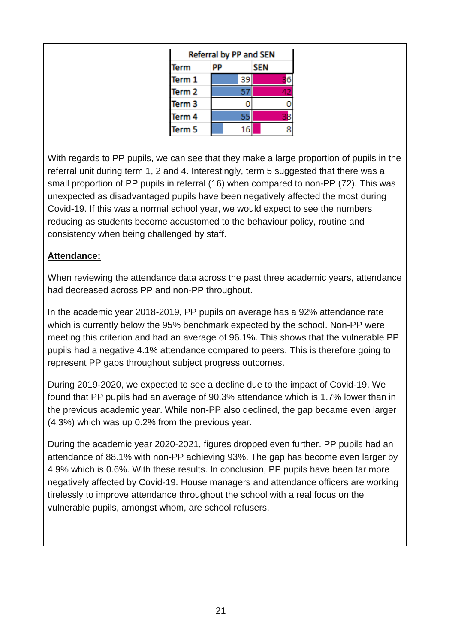| Referral by PP and SEN |    |            |
|------------------------|----|------------|
| Term                   |    | <b>SEN</b> |
| Term 1                 | 39 |            |
| Term 2                 | 57 |            |
| Term 3                 |    |            |
| Term 4                 | 55 |            |
| Term 5                 | 16 |            |

With regards to PP pupils, we can see that they make a large proportion of pupils in the referral unit during term 1, 2 and 4. Interestingly, term 5 suggested that there was a small proportion of PP pupils in referral (16) when compared to non-PP (72). This was unexpected as disadvantaged pupils have been negatively affected the most during Covid-19. If this was a normal school year, we would expect to see the numbers reducing as students become accustomed to the behaviour policy, routine and consistency when being challenged by staff.

#### **Attendance:**

When reviewing the attendance data across the past three academic years, attendance had decreased across PP and non-PP throughout.

In the academic year 2018-2019, PP pupils on average has a 92% attendance rate which is currently below the 95% benchmark expected by the school. Non-PP were meeting this criterion and had an average of 96.1%. This shows that the vulnerable PP pupils had a negative 4.1% attendance compared to peers. This is therefore going to represent PP gaps throughout subject progress outcomes.

During 2019-2020, we expected to see a decline due to the impact of Covid-19. We found that PP pupils had an average of 90.3% attendance which is 1.7% lower than in the previous academic year. While non-PP also declined, the gap became even larger (4.3%) which was up 0.2% from the previous year.

During the academic year 2020-2021, figures dropped even further. PP pupils had an attendance of 88.1% with non-PP achieving 93%. The gap has become even larger by 4.9% which is 0.6%. With these results. In conclusion, PP pupils have been far more negatively affected by Covid-19. House managers and attendance officers are working tirelessly to improve attendance throughout the school with a real focus on the vulnerable pupils, amongst whom, are school refusers.